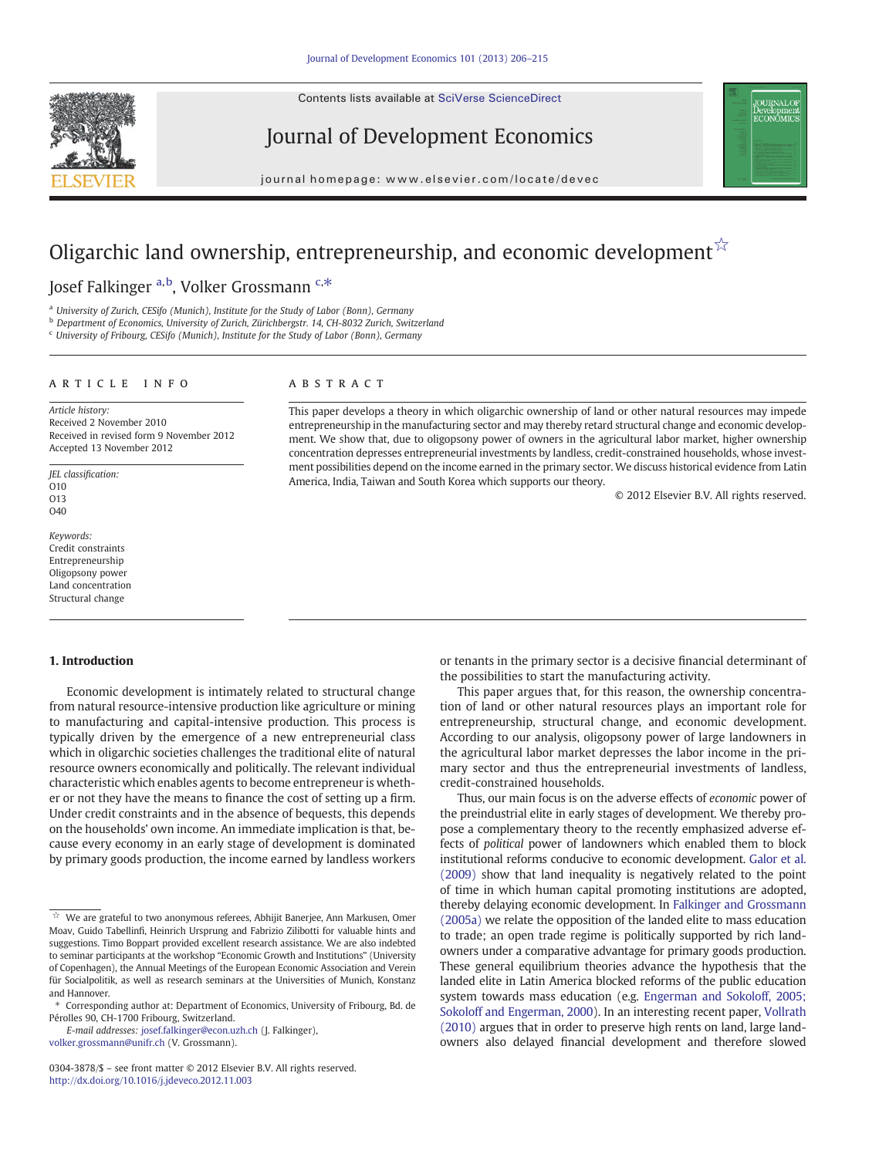Contents lists available at [SciVerse ScienceDirect](http://www.sciencedirect.com/science/journal/03043878)







journal homepage: www.elsevier.com/locate/devec

# Oligarchic land ownership, entrepreneurship, and economic development  $\hat{\mathbf{x}}$

## Josef Falkinger <sup>a,b</sup>, Volker Grossmann <sup>c,\*</sup>

<sup>a</sup> University of Zurich, CESifo (Munich), Institute for the Study of Labor (Bonn), Germany

b Department of Economics, University of Zurich, Zürichbergstr. 14, CH-8032 Zurich, Switzerland

<sup>c</sup> University of Fribourg, CESifo (Munich), Institute for the Study of Labor (Bonn), Germany

#### article info abstract

Article history: Received 2 November 2010 Received in revised form 9 November 2012 Accepted 13 November 2012

JEL classification: O10  $013$  $\Omega$ 40

Keywords: Credit constraints Entrepreneurship Oligopsony power Land concentration Structural change

### 1. Introduction

Economic development is intimately related to structural change from natural resource-intensive production like agriculture or mining to manufacturing and capital-intensive production. This process is typically driven by the emergence of a new entrepreneurial class which in oligarchic societies challenges the traditional elite of natural resource owners economically and politically. The relevant individual characteristic which enables agents to become entrepreneur is whether or not they have the means to finance the cost of setting up a firm. Under credit constraints and in the absence of bequests, this depends on the households' own income. An immediate implication is that, because every economy in an early stage of development is dominated by primary goods production, the income earned by landless workers

0304-3878/\$ – see front matter © 2012 Elsevier B.V. All rights reserved. <http://dx.doi.org/10.1016/j.jdeveco.2012.11.003>

This paper develops a theory in which oligarchic ownership of land or other natural resources may impede entrepreneurship in the manufacturing sector and may thereby retard structural change and economic development. We show that, due to oligopsony power of owners in the agricultural labor market, higher ownership concentration depresses entrepreneurial investments by landless, credit-constrained households, whose investment possibilities depend on the income earned in the primary sector. We discuss historical evidence from Latin America, India, Taiwan and South Korea which supports our theory.

© 2012 Elsevier B.V. All rights reserved.

or tenants in the primary sector is a decisive financial determinant of the possibilities to start the manufacturing activity.

This paper argues that, for this reason, the ownership concentration of land or other natural resources plays an important role for entrepreneurship, structural change, and economic development. According to our analysis, oligopsony power of large landowners in the agricultural labor market depresses the labor income in the primary sector and thus the entrepreneurial investments of landless, credit-constrained households.

Thus, our main focus is on the adverse effects of economic power of the preindustrial elite in early stages of development. We thereby propose a complementary theory to the recently emphasized adverse effects of political power of landowners which enabled them to block institutional reforms conducive to economic development. [Galor et al.](#page--1-0) [\(2009\)](#page--1-0) show that land inequality is negatively related to the point of time in which human capital promoting institutions are adopted, thereby delaying economic development. In [Falkinger and Grossmann](#page--1-0) [\(2005a\)](#page--1-0) we relate the opposition of the landed elite to mass education to trade; an open trade regime is politically supported by rich landowners under a comparative advantage for primary goods production. These general equilibrium theories advance the hypothesis that the landed elite in Latin America blocked reforms of the public education system towards mass education (e.g. [Engerman and Sokoloff, 2005;](#page--1-0) [Sokoloff and Engerman, 2000\)](#page--1-0). In an interesting recent paper, [Vollrath](#page--1-0) [\(2010\)](#page--1-0) argues that in order to preserve high rents on land, large landowners also delayed financial development and therefore slowed

We are grateful to two anonymous referees, Abhijit Banerjee, Ann Markusen, Omer Moav, Guido Tabellinfi, Heinrich Ursprung and Fabrizio Zilibotti for valuable hints and suggestions. Timo Boppart provided excellent research assistance. We are also indebted to seminar participants at the workshop "Economic Growth and Institutions" (University of Copenhagen), the Annual Meetings of the European Economic Association and Verein für Socialpolitik, as well as research seminars at the Universities of Munich, Konstanz and Hannover.

<sup>⁎</sup> Corresponding author at: Department of Economics, University of Fribourg, Bd. de Pérolles 90, CH-1700 Fribourg, Switzerland.

E-mail addresses: [josef.falkinger@econ.uzh.ch](mailto:josef.falkinger@econ.uzh.ch) (J. Falkinger), [volker.grossmann@unifr.ch](mailto:volker.grossmann@unifr.ch) (V. Grossmann).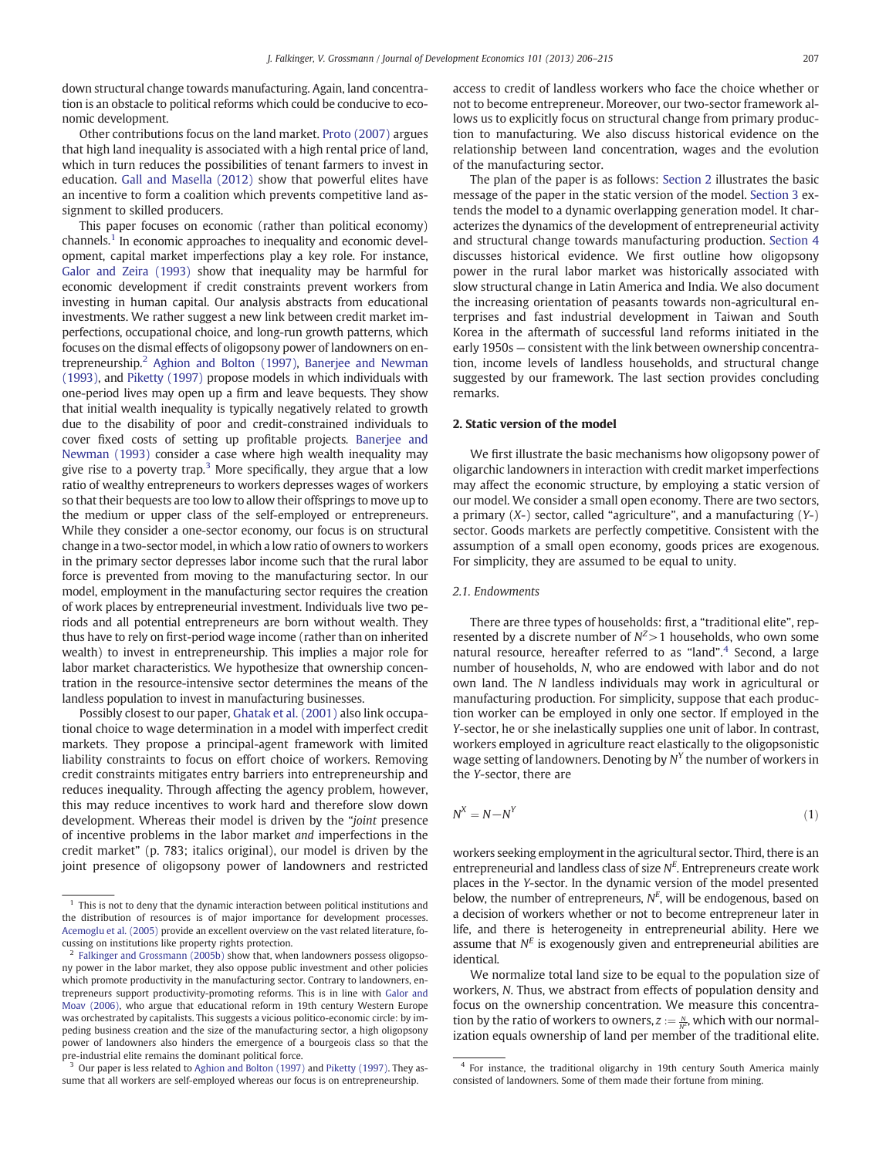down structural change towards manufacturing. Again, land concentration is an obstacle to political reforms which could be conducive to economic development.

Other contributions focus on the land market. [Proto \(2007\)](#page--1-0) argues that high land inequality is associated with a high rental price of land, which in turn reduces the possibilities of tenant farmers to invest in education. [Gall and Masella \(2012\)](#page--1-0) show that powerful elites have an incentive to form a coalition which prevents competitive land assignment to skilled producers.

This paper focuses on economic (rather than political economy) channels.<sup>1</sup> In economic approaches to inequality and economic development, capital market imperfections play a key role. For instance, [Galor and Zeira \(1993\)](#page--1-0) show that inequality may be harmful for economic development if credit constraints prevent workers from investing in human capital. Our analysis abstracts from educational investments. We rather suggest a new link between credit market imperfections, occupational choice, and long-run growth patterns, which focuses on the dismal effects of oligopsony power of landowners on entrepreneurship.<sup>2</sup> [Aghion and Bolton \(1997\)](#page--1-0), [Banerjee and Newman](#page--1-0) [\(1993\)](#page--1-0), and [Piketty \(1997\)](#page--1-0) propose models in which individuals with one-period lives may open up a firm and leave bequests. They show that initial wealth inequality is typically negatively related to growth due to the disability of poor and credit-constrained individuals to cover fixed costs of setting up profitable projects. [Banerjee and](#page--1-0) [Newman \(1993\)](#page--1-0) consider a case where high wealth inequality may give rise to a poverty trap.<sup>3</sup> More specifically, they argue that a low ratio of wealthy entrepreneurs to workers depresses wages of workers so that their bequests are too low to allow their offsprings to move up to the medium or upper class of the self-employed or entrepreneurs. While they consider a one-sector economy, our focus is on structural change in a two-sector model, in which a low ratio of owners to workers in the primary sector depresses labor income such that the rural labor force is prevented from moving to the manufacturing sector. In our model, employment in the manufacturing sector requires the creation of work places by entrepreneurial investment. Individuals live two periods and all potential entrepreneurs are born without wealth. They thus have to rely on first-period wage income (rather than on inherited wealth) to invest in entrepreneurship. This implies a major role for labor market characteristics. We hypothesize that ownership concentration in the resource-intensive sector determines the means of the landless population to invest in manufacturing businesses.

Possibly closest to our paper, [Ghatak et al. \(2001\)](#page--1-0) also link occupational choice to wage determination in a model with imperfect credit markets. They propose a principal-agent framework with limited liability constraints to focus on effort choice of workers. Removing credit constraints mitigates entry barriers into entrepreneurship and reduces inequality. Through affecting the agency problem, however, this may reduce incentives to work hard and therefore slow down development. Whereas their model is driven by the "joint presence of incentive problems in the labor market and imperfections in the credit market" (p. 783; italics original), our model is driven by the joint presence of oligopsony power of landowners and restricted

<sup>3</sup> Our paper is less related to [Aghion and Bolton \(1997\)](#page--1-0) and [Piketty \(1997\).](#page--1-0) They assume that all workers are self-employed whereas our focus is on entrepreneurship.

access to credit of landless workers who face the choice whether or not to become entrepreneur. Moreover, our two-sector framework allows us to explicitly focus on structural change from primary production to manufacturing. We also discuss historical evidence on the relationship between land concentration, wages and the evolution of the manufacturing sector.

The plan of the paper is as follows: Section 2 illustrates the basic message of the paper in the static version of the model. [Section 3](#page--1-0) extends the model to a dynamic overlapping generation model. It characterizes the dynamics of the development of entrepreneurial activity and structural change towards manufacturing production. [Section 4](#page--1-0) discusses historical evidence. We first outline how oligopsony power in the rural labor market was historically associated with slow structural change in Latin America and India. We also document the increasing orientation of peasants towards non-agricultural enterprises and fast industrial development in Taiwan and South Korea in the aftermath of successful land reforms initiated in the early 1950s — consistent with the link between ownership concentration, income levels of landless households, and structural change suggested by our framework. The last section provides concluding remarks.

#### 2. Static version of the model

We first illustrate the basic mechanisms how oligopsony power of oligarchic landowners in interaction with credit market imperfections may affect the economic structure, by employing a static version of our model. We consider a small open economy. There are two sectors, a primary (X-) sector, called "agriculture", and a manufacturing (Y-) sector. Goods markets are perfectly competitive. Consistent with the assumption of a small open economy, goods prices are exogenous. For simplicity, they are assumed to be equal to unity.

#### 2.1. Endowments

There are three types of households: first, a "traditional elite", represented by a discrete number of  $N^Z>1$  households, who own some natural resource, hereafter referred to as "land".<sup>4</sup> Second, a large number of households, N, who are endowed with labor and do not own land. The N landless individuals may work in agricultural or manufacturing production. For simplicity, suppose that each production worker can be employed in only one sector. If employed in the Y-sector, he or she inelastically supplies one unit of labor. In contrast, workers employed in agriculture react elastically to the oligopsonistic wage setting of landowners. Denoting by  $N<sup>Y</sup>$  the number of workers in the Y-sector, there are

$$
N^X = N - N^Y \tag{1}
$$

workers seeking employment in the agricultural sector. Third, there is an entrepreneurial and landless class of size  $N<sup>E</sup>$ . Entrepreneurs create work places in the Y-sector. In the dynamic version of the model presented below, the number of entrepreneurs,  $N<sup>E</sup>$ , will be endogenous, based on a decision of workers whether or not to become entrepreneur later in life, and there is heterogeneity in entrepreneurial ability. Here we assume that  $N<sup>E</sup>$  is exogenously given and entrepreneurial abilities are identical.

We normalize total land size to be equal to the population size of workers, N. Thus, we abstract from effects of population density and focus on the ownership concentration. We measure this concentration by the ratio of workers to owners,  $z := \frac{N}{N'}$ , which with our normalization equals ownership of land per member of the traditional elite.

<sup>1</sup> This is not to deny that the dynamic interaction between political institutions and the distribution of resources is of major importance for development processes. [Acemoglu et al. \(2005\)](#page--1-0) provide an excellent overview on the vast related literature, focussing on institutions like property rights protection.

<sup>&</sup>lt;sup>2</sup> [Falkinger and Grossmann \(2005b\)](#page--1-0) show that, when landowners possess oligopsony power in the labor market, they also oppose public investment and other policies which promote productivity in the manufacturing sector. Contrary to landowners, entrepreneurs support productivity-promoting reforms. This is in line with [Galor and](#page--1-0) [Moav \(2006\),](#page--1-0) who argue that educational reform in 19th century Western Europe was orchestrated by capitalists. This suggests a vicious politico-economic circle: by impeding business creation and the size of the manufacturing sector, a high oligopsony power of landowners also hinders the emergence of a bourgeois class so that the pre-industrial elite remains the dominant political force.

<sup>&</sup>lt;sup>4</sup> For instance, the traditional oligarchy in 19th century South America mainly consisted of landowners. Some of them made their fortune from mining.